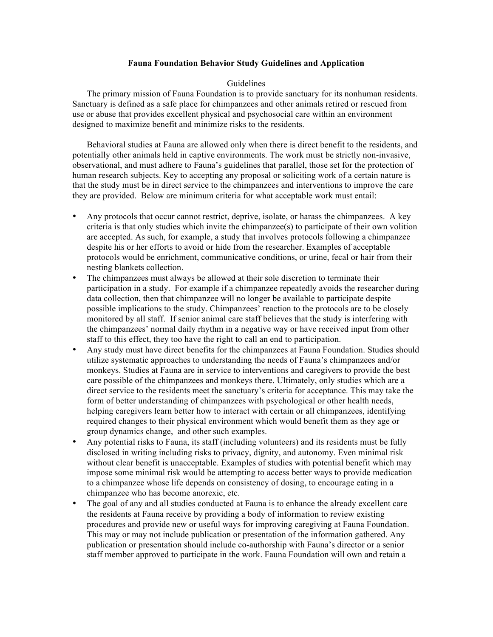### **Fauna Foundation Behavior Study Guidelines and Application**

#### Guidelines

The primary mission of Fauna Foundation is to provide sanctuary for its nonhuman residents. Sanctuary is defined as a safe place for chimpanzees and other animals retired or rescued from use or abuse that provides excellent physical and psychosocial care within an environment designed to maximize benefit and minimize risks to the residents.

Behavioral studies at Fauna are allowed only when there is direct benefit to the residents, and potentially other animals held in captive environments. The work must be strictly non-invasive, observational, and must adhere to Fauna's guidelines that parallel, those set for the protection of human research subjects. Key to accepting any proposal or soliciting work of a certain nature is that the study must be in direct service to the chimpanzees and interventions to improve the care they are provided. Below are minimum criteria for what acceptable work must entail:

- Any protocols that occur cannot restrict, deprive, isolate, or harass the chimpanzees. A key criteria is that only studies which invite the chimpanzee(s) to participate of their own volition are accepted. As such, for example, a study that involves protocols following a chimpanzee despite his or her efforts to avoid or hide from the researcher. Examples of acceptable protocols would be enrichment, communicative conditions, or urine, fecal or hair from their nesting blankets collection.
- The chimpanzees must always be allowed at their sole discretion to terminate their participation in a study. For example if a chimpanzee repeatedly avoids the researcher during data collection, then that chimpanzee will no longer be available to participate despite possible implications to the study. Chimpanzees' reaction to the protocols are to be closely monitored by all staff. If senior animal care staff believes that the study is interfering with the chimpanzees' normal daily rhythm in a negative way or have received input from other staff to this effect, they too have the right to call an end to participation.
- Any study must have direct benefits for the chimpanzees at Fauna Foundation. Studies should utilize systematic approaches to understanding the needs of Fauna's chimpanzees and/or monkeys. Studies at Fauna are in service to interventions and caregivers to provide the best care possible of the chimpanzees and monkeys there. Ultimately, only studies which are a direct service to the residents meet the sanctuary's criteria for acceptance. This may take the form of better understanding of chimpanzees with psychological or other health needs, helping caregivers learn better how to interact with certain or all chimpanzees, identifying required changes to their physical environment which would benefit them as they age or group dynamics change, and other such examples.
- Any potential risks to Fauna, its staff (including volunteers) and its residents must be fully disclosed in writing including risks to privacy, dignity, and autonomy. Even minimal risk without clear benefit is unacceptable. Examples of studies with potential benefit which may impose some minimal risk would be attempting to access better ways to provide medication to a chimpanzee whose life depends on consistency of dosing, to encourage eating in a chimpanzee who has become anorexic, etc.
- The goal of any and all studies conducted at Fauna is to enhance the already excellent care the residents at Fauna receive by providing a body of information to review existing procedures and provide new or useful ways for improving caregiving at Fauna Foundation. This may or may not include publication or presentation of the information gathered. Any publication or presentation should include co-authorship with Fauna's director or a senior staff member approved to participate in the work. Fauna Foundation will own and retain a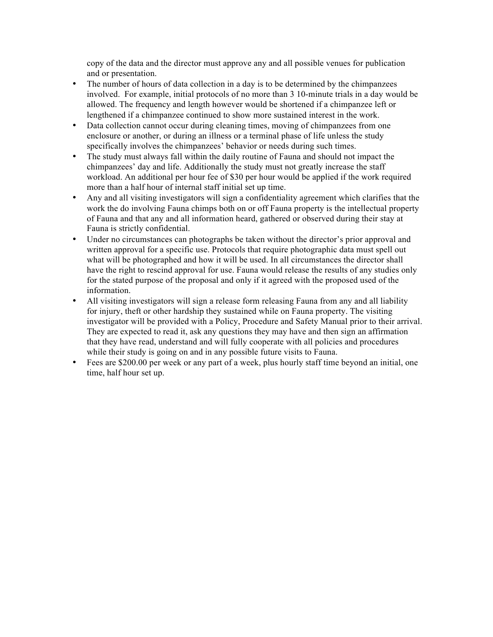copy of the data and the director must approve any and all possible venues for publication and or presentation.

- The number of hours of data collection in a day is to be determined by the chimpanzees involved. For example, initial protocols of no more than 3 10-minute trials in a day would be allowed. The frequency and length however would be shortened if a chimpanzee left or lengthened if a chimpanzee continued to show more sustained interest in the work.
- Data collection cannot occur during cleaning times, moving of chimpanzees from one enclosure or another, or during an illness or a terminal phase of life unless the study specifically involves the chimpanzees' behavior or needs during such times.
- The study must always fall within the daily routine of Fauna and should not impact the chimpanzees' day and life. Additionally the study must not greatly increase the staff workload. An additional per hour fee of \$30 per hour would be applied if the work required more than a half hour of internal staff initial set up time.
- Any and all visiting investigators will sign a confidentiality agreement which clarifies that the work the do involving Fauna chimps both on or off Fauna property is the intellectual property of Fauna and that any and all information heard, gathered or observed during their stay at Fauna is strictly confidential.
- Under no circumstances can photographs be taken without the director's prior approval and written approval for a specific use. Protocols that require photographic data must spell out what will be photographed and how it will be used. In all circumstances the director shall have the right to rescind approval for use. Fauna would release the results of any studies only for the stated purpose of the proposal and only if it agreed with the proposed used of the information.
- All visiting investigators will sign a release form releasing Fauna from any and all liability for injury, theft or other hardship they sustained while on Fauna property. The visiting investigator will be provided with a Policy, Procedure and Safety Manual prior to their arrival. They are expected to read it, ask any questions they may have and then sign an affirmation that they have read, understand and will fully cooperate with all policies and procedures while their study is going on and in any possible future visits to Fauna.
- Fees are \$200.00 per week or any part of a week, plus hourly staff time beyond an initial, one time, half hour set up.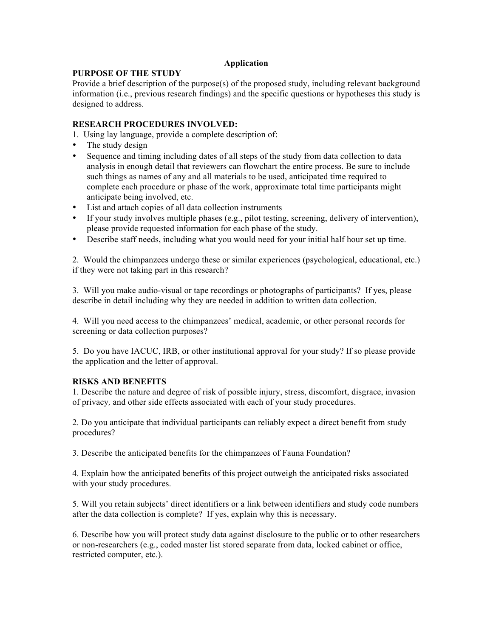## **Application**

## **PURPOSE OF THE STUDY**

Provide a brief description of the purpose(s) of the proposed study, including relevant background information (i.e., previous research findings) and the specific questions or hypotheses this study is designed to address.

# **RESEARCH PROCEDURES INVOLVED:**

1. Using lay language, provide a complete description of:

- The study design
- Sequence and timing including dates of all steps of the study from data collection to data analysis in enough detail that reviewers can flowchart the entire process. Be sure to include such things as names of any and all materials to be used, anticipated time required to complete each procedure or phase of the work, approximate total time participants might anticipate being involved, etc.
- List and attach copies of all data collection instruments
- If your study involves multiple phases (e.g., pilot testing, screening, delivery of intervention), please provide requested information for each phase of the study.
- Describe staff needs, including what you would need for your initial half hour set up time.

2. Would the chimpanzees undergo these or similar experiences (psychological, educational, etc.) if they were not taking part in this research?

3. Will you make audio-visual or tape recordings or photographs of participants? If yes, please describe in detail including why they are needed in addition to written data collection.

4. Will you need access to the chimpanzees' medical, academic, or other personal records for screening or data collection purposes?

5. Do you have IACUC, IRB, or other institutional approval for your study? If so please provide the application and the letter of approval.

## **RISKS AND BENEFITS**

1. Describe the nature and degree of risk of possible injury, stress, discomfort, disgrace, invasion of privacy*,* and other side effects associated with each of your study procedures.

2. Do you anticipate that individual participants can reliably expect a direct benefit from study procedures?

3. Describe the anticipated benefits for the chimpanzees of Fauna Foundation?

4. Explain how the anticipated benefits of this project outweigh the anticipated risks associated with your study procedures.

5. Will you retain subjects' direct identifiers or a link between identifiers and study code numbers after the data collection is complete?If yes, explain why this is necessary.

6. Describe how you will protect study data against disclosure to the public or to other researchers or non-researchers (e.g., coded master list stored separate from data, locked cabinet or office, restricted computer, etc.).